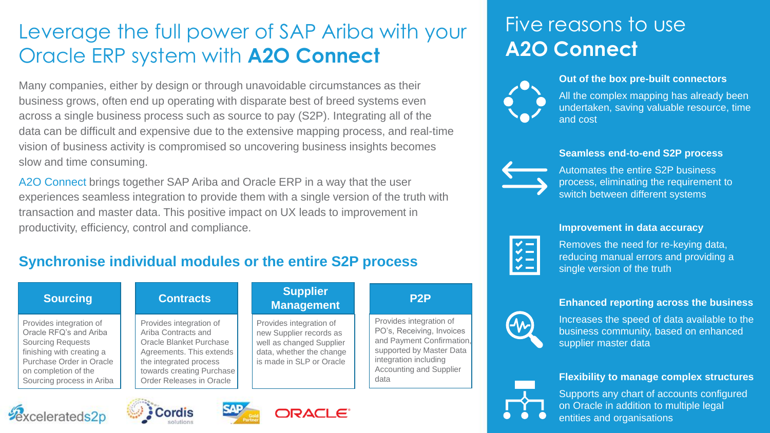## Leverage the full power of SAP Ariba with your Oracle ERP system with **A2O Connect**

Many companies, either by design or through unavoidable circumstances as their business grows, often end up operating with disparate best of breed systems even across a single business process such as source to pay (S2P). Integrating all of the data can be difficult and expensive due to the extensive mapping process, and real-time vision of business activity is compromised so uncovering business insights becomes slow and time consuming.

A2O Connect brings together SAP Ariba and Oracle ERP in a way that the user experiences seamless integration to provide them with a single version of the truth with transaction and master data. This positive impact on UX leads to improvement in productivity, efficiency, control and compliance.

### **Synchronise individual modules or the entire S2P process**

## Five reasons to use **A2O Connect**



**Out of the box pre-built connectors**

All the complex mapping has already been undertaken, saving valuable resource, time and cost

#### **Seamless end-to-end S2P process**



Automates the entire S2P business process, eliminating the requirement to switch between different systems

#### **Improvement in data accuracy**



Removes the need for re-keying data, reducing manual errors and providing a single version of the truth

### **Enhanced reporting across the business**



Increases the speed of data available to the business community, based on enhanced supplier master data

#### **Flexibility to manage complex structures**



Supports any chart of accounts configured on Oracle in addition to multiple legal entities and organisations

### **Sourcing Contracts Supplier**

Provides integration of Oracle RFQ's and Ariba Sourcing Requests finishing with creating a Purchase Order in Oracle on completion of the Sourcing process in Ariba





Provides integration of Ariba Contracts and Oracle Blanket Purchase Agreements. This extends the integrated process towards creating Purchase Order Releases in Oracle



Provides integration of new Supplier records as well as changed Supplier data, whether the change is made in SLP or Oracle

# **Management P2P**

Provides integration of PO's, Receiving, Invoices and Payment Confirmation, supported by Master Data integration including Accounting and Supplier data